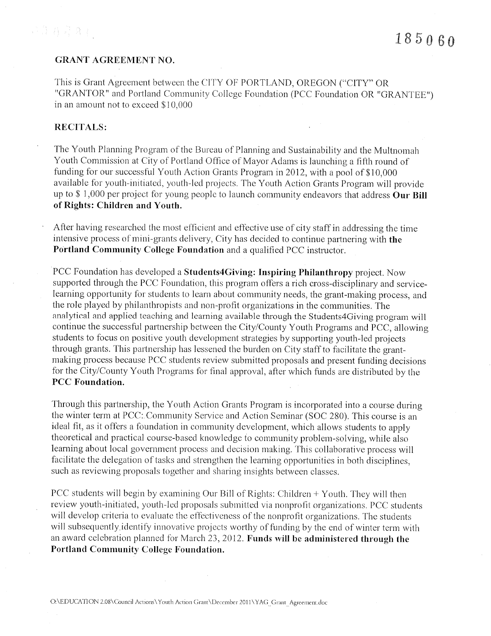# **GRANT AGREEMENT NO.**

This is Grant Agreement between the CITY OF PORTLAND, OREGON ("CITY" OR "GRANTOR" and Portland Community College Foundation (PCC Foundation OR "GRANTEE") in an amount not to exceed \$10,000

# **RECITALS:**

The Youth Planning Program of the Bureau of Planning and Sustainability and the Multnomah Youth Commission at City of Portland Office of Mayor Adams is launching a fifth round of funding for our successful Youth Action Grants Program in 2012, with a pool of \$10,000 available for youth-initiated, youth-led projects. The Youth Action Grants Program will provide up to  $$1,000$  per project for young people to launch community endeavors that address Our Bill of Rights: Children and Youth.

After having researched the most efficient and effective use of city staff in addressing the time intensive process of mini-grants delivery, City has decided to continue partnering with the Portland Community College Foundation and a qualified PCC instructor.

PCC Foundation has developed a Students4Giving: Inspiring Philanthropy project. Now supported through the PCC Foundation, this program offers a rich cross-disciplinary and servicelearning opportunity for students to learn about community needs, the grant-making process, and the role played by philanthropists and non-profit organizations in the communities. The analytical and applied teaching and learning available through the Students4Giving program will continue the successful partnership between the City/County Youth Programs and PCC, allowing students to focus on positive youth development strategies by supporting youth-led projects through grants. This partnership has lessened the burden on City staff to facilitate the grantmaking process because PCC students review submitted proposals and present funding decisions for the City/County Youth Programs for final approval, after which funds are distributed by the **PCC** Foundation.

Through this partnership, the Youth Action Grants Program is incorporated into a course during the winter term at PCC: Community Service and Action Seminar (SOC 280). This course is an ideal fit, as it offers a foundation in community development, which allows students to apply theoretical and practical course-based knowledge to community problem-solving, while also learning about local government process and decision making. This collaborative process will facilitate the delegation of tasks and strengthen the learning opportunities in both disciplines, such as reviewing proposals together and sharing insights between classes.

PCC students will begin by examining Our Bill of Rights: Children + Youth. They will then review youth-initiated, youth-led proposals submitted via nonprofit organizations. PCC students will develop criteria to evaluate the effectiveness of the nonprofit organizations. The students will subsequently identify innovative projects worthy of funding by the end of winter term with an award celebration planned for March 23, 2012. Funds will be administered through the **Portland Community College Foundation.**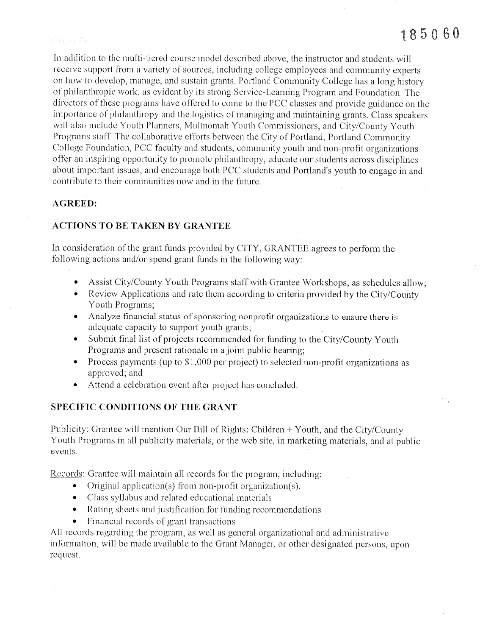tivo.

In addition to the multi-tiered course model described above, the instructor and students will receive support from a variety of sources, including college employees and community experts on how to develop, manage, and sustain grants. Portland Community College has a long history of philanthropic work, as evident by its strong Service-Learning Program and Foundation. The directors of these programs have offered to come to the PCC classes and provide guidance on the importance of philanthropy and the logistics of managing and maintaining grants. Class speakers will also include Youth Planners, Multnomah Youth Commissioners, and City/County Youth Programs staff. The collaborative efforts between the City of Portland, Portland Community College Foundation, PCC faculty and students, community youth and non-profit organizations offer an inspiring opportunity to promote philanthropy, educate our students across disciplines about important issues, and encourage both PCC students and Portland's youth to engage in and contribute to their communities now and in the future.

# **AGREED:**

# **ACTIONS TO BE TAKEN BY GRANTEE**

In consideration of the grant funds provided by CITY, GRANTEE agrees to perform the following actions and/or spend grant funds in the following way:

- Assist City/County Youth Programs staff with Grantee Workshops, as schedules allow;
- Review Applications and rate them according to criteria provided by the City/County Youth Programs;
- Analyze financial status of sponsoring nonprofit organizations to ensure there is adequate capacity to support youth grants;
- Submit final list of projects recommended for funding to the City/County Youth Programs and present rationale in a joint public hearing;
- Process payments (up to  $$1,000$  per project) to selected non-profit organizations as approved; and
- Attend a celebration event after project has concluded.

# **SPECIFIC CONDITIONS OF THE GRANT**

Publicity: Grantee will mention Our Bill of Rights: Children + Youth, and the City/County Youth Programs in all publicity materials, or the web site, in marketing materials, and at public events.

Records: Grantee will maintain all records for the program, including:

- Original application(s) from non-profit organization(s).
- Class syllabus and related educational materials
- Rating sheets and justification for funding recommendations
- Financial records of grant transactions

All records regarding the program, as well as general organizational and administrative information, will be made available to the Grant Manager, or other designated persons, upon request.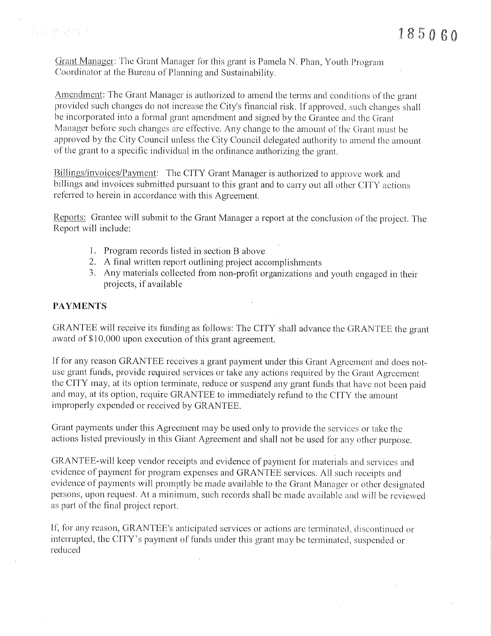Grant Manager: The Grant Manager for this grant is Pamela N. Phan, Youth Program Coordinator at the Bureau of Planning and Sustainability.

Amendment: The Grant Manager is authorized to amend the terms and conditions of the grant provided such changes do not increase the City's financial risk. If approved, such changes shall be incorporated into a formal grant amendment and signed by the Grantee and the Grant Manager before such changes are effective. Any change to the amount of the Grant must be approved by the City Council unless the City Council delegated authority to amend the amount of the grant to a specific individual in the ordinance authorizing the grant.

Billings/invoices/Payment: The CITY Grant Manager is authorized to approve work and billings and invoices submitted pursuant to this grant and to carry out all other CITY actions referred to herein in accordance with this Agreement.

Reports: Grantee will submit to the Grant Manager a report at the conclusion of the project. The Report will include:

- 1. Program records listed in section B above
- 2. A final written report outlining project accomplishments
- 3. Any materials collected from non-profit organizations and youth engaged in their projects, if available

## **PAYMENTS**

GRANTEE will receive its funding as follows: The CITY shall advance the GRANTEE the grant award of \$10,000 upon execution of this grant agreement.

If for any reason GRANTEE receives a grant payment under this Grant Agreement and does notuse grant funds, provide required services or take any actions required by the Grant Agreement the CITY may, at its option terminate, reduce or suspend any grant funds that have not been paid and may, at its option, require GRANTEE to immediately refund to the CITY the amount improperly expended or received by GRANTEE.

Grant payments under this Agreement may be used only to provide the services or take the actions listed previously in this Giant Agreement and shall not be used for any other purpose.

GRANTEE-will keep vendor receipts and evidence of payment for materials and services and evidence of payment for program expenses and GRANTEE services. All such receipts and evidence of payments will promptly be made available to the Grant Manager or other designated persons, upon request. At a minimum, such records shall be made available and will be reviewed as part of the final project report.

If, for any reason, GRANTEE's anticipated services or actions are terminated, discontinued or interrupted, the CITY's payment of funds under this grant may be terminated, suspended or reduced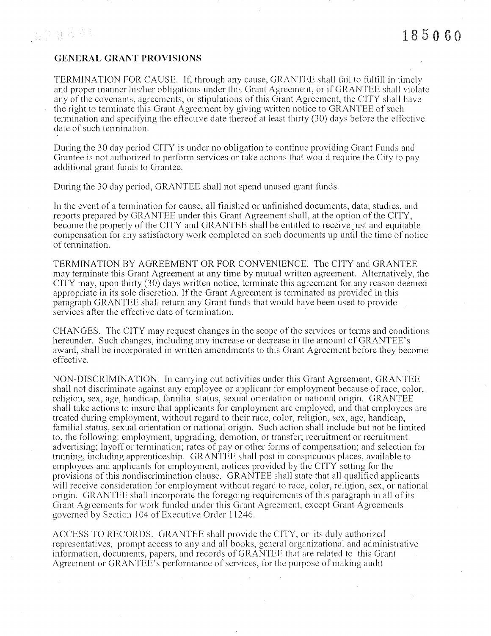# 2. 合作程序:

## **GENERAL GRANT PROVISIONS**

TERMINATION FOR CAUSE. If, through any cause, GRANTEE shall fail to fulfill in timely and proper manner his/her obligations under this Grant Agreement, or if GRANTEE shall violate any of the covenants, agreements, or stipulations of this Grant Agreement, the CITY shall have the right to terminate this Grant Agreement by giving written notice to GRANTEE of such termination and specifying the effective date thereof at least thirty (30) days before the effective date of such termination.

During the 30 day period CITY is under no obligation to continue providing Grant Funds and Grantee is not authorized to perform services or take actions that would require the City to pay additional grant funds to Grantee.

During the 30 day period, GRANTEE shall not spend unused grant funds.

In the event of a termination for cause, all finished or unfinished documents, data, studies, and reports prepared by GRANTEE under this Grant Agreement shall, at the option of the CITY, become the property of the CITY and GRANTEE shall be entitled to receive just and equitable compensation for any satisfactory work completed on such documents up until the time of notice of termination.

TERMINATION BY AGREEMENT OR FOR CONVENIENCE. The CITY and GRANTEE may terminate this Grant Agreement at any time by mutual written agreement. Alternatively, the  $CITY$  may, upon thirty (30) days written notice, terminate this agreement for any reason deemed appropriate in its sole discretion. If the Grant Agreement is terminated as provided in this paragraph GRANTEE shall return any Grant funds that would have been used to provide services after the effective date of termination.

CHANGES. The CITY may request changes in the scope of the services or terms and conditions hereunder. Such changes, including any increase or decrease in the amount of GRANTEE's award, shall be incorporated in written amendments to this Grant Agreement before they become effective.

NON-DISCRIMINATION. In carrying out activities under this Grant Agreement, GRANTEE shall not discriminate against any employee or applicant for employment because of race, color, religion, sex, age, handicap, familial status, sexual orientation or national origin. GRANTEE shall take actions to insure that applicants for employment are employed, and that employees are treated during employment, without regard to their race, color, religion, sex, age, handicap, familial status, sexual orientation or national origin. Such action shall include but not be limited to, the following: employment, upgrading, demotion, or transfer; recruitment or recruitment advertising; layoff or termination; rates of pay or other forms of compensation; and selection for training, including apprenticeship. GRANTEE shall post in conspicuous places, available to employees and applicants for employment, notices provided by the CITY setting for the provisions of this nondiscrimination clause. GRANTEE shall state that all qualified applicants will receive consideration for employment without regard to race, color, religion, sex, or national origin. GRANTEE shall incorporate the foregoing requirements of this paragraph in all of its Grant Agreements for work funded under this Grant Agreement, except Grant Agreements governed by Section 104 of Executive Order 11246.

ACCESS TO RECORDS. GRANTEE shall provide the CITY, or its duly authorized representatives, prompt access to any and all books, general organizational and administrative information, documents, papers, and records of GRANTEE that are related to this Grant Agreement or GRANTEE's performance of services, for the purpose of making audit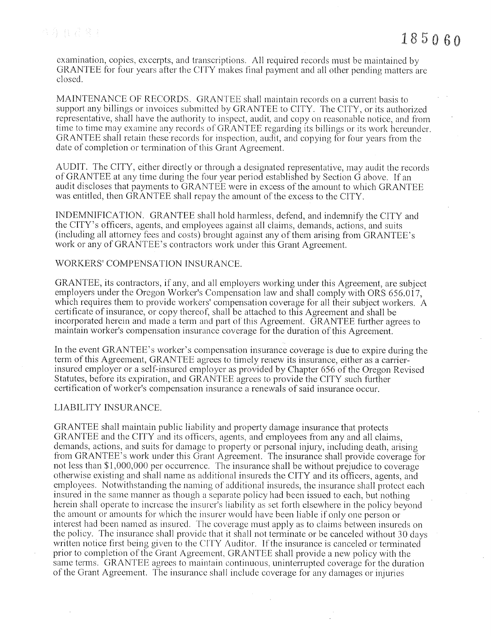examination, copies, excerpts, and transcriptions. All required records must be maintained by GRANTEE for four years after the CITY makes final payment and all other pending matters are closed.

MAINTENANCE OF RECORDS. GRANTEE shall maintain records on a current basis to support any billings or invoices submitted by GRANTEE to CITY. The CITY, or its authorized representative, shall have the authority to inspect, audit, and copy on reasonable notice, and from time to time may examine any records of GRANTEE regarding its billings or its work hereunder. GRANTEE shall retain these records for inspection, audit, and copying for four years from the date of completion or termination of this Grant Agreement.

AUDIT. The CITY, either directly or through a designated representative, may audit the records of GRANTEE at any time during the four year period established by Section G above. If an audit discloses that payments to GRANTEE were in excess of the amount to which GRANTEE was entitled, then GRANTEE shall repay the amount of the excess to the CITY.

INDEMNIFICATION. GRANTEE shall hold harmless, defend, and indemnify the CITY and the CITY's officers, agents, and employees against all claims, demands, actions, and suits (including all attorney fees and costs) brought against any of them arising from GRANTEE's work or any of GRANTEE's contractors work under this Grant Agreement.

### WORKERS' COMPENSATION INSURANCE.

GRANTEE, its contractors, if any, and all employers working under this Agreement, are subject employers under the Oregon Worker's Compensation law and shall comply with ORS 656.017. which requires them to provide workers' compensation coverage for all their subject workers. A certificate of insurance, or copy thereof, shall be attached to this Agreement and shall be incorporated herein and made a term and part of this Agreement. GRANTEE further agrees to maintain worker's compensation insurance coverage for the duration of this Agreement.

In the event GRANTEE's worker's compensation insurance coverage is due to expire during the term of this Agreement, GRANTEE agrees to timely renew its insurance, either as a carrierinsured employer or a self-insured employer as provided by Chapter 656 of the Oregon Revised Statutes, before its expiration, and GRANTEE agrees to provide the CITY such further certification of worker's compensation insurance a renewals of said insurance occur.

### LIABILITY INSURANCE.

GRANTEE shall maintain public liability and property damage insurance that protects GRANTEE and the CITY and its officers, agents, and employees from any and all claims, demands, actions, and suits for damage to property or personal injury, including death, arising from GRANTEE's work under this Grant Agreement. The insurance shall provide coverage for not less than \$1,000,000 per occurrence. The insurance shall be without prejudice to coverage otherwise existing and shall name as additional insureds the CITY and its officers, agents, and employees. Notwithstanding the naming of additional insureds, the insurance shall protect each insured in the same manner as though a separate policy had been issued to each, but nothing herein shall operate to increase the insurer's liability as set forth elsewhere in the policy beyond the amount or amounts for which the insurer would have been liable if only one person or interest had been named as insured. The coverage must apply as to claims between insureds on the policy. The insurance shall provide that it shall not terminate or be canceled without 30 days written notice first being given to the CITY Auditor. If the insurance is canceled or terminated prior to completion of the Grant Agreement, GRANTEE shall provide a new policy with the same terms. GRANTEE agrees to maintain continuous, uninterrupted coverage for the duration of the Grant Agreement. The insurance shall include coverage for any damages or injuries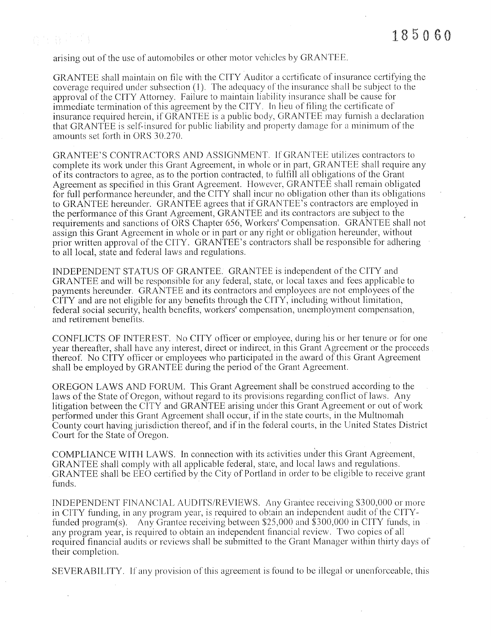arising out of the use of automobiles or other motor vehicles by GRANTEE.

GRANTEE shall maintain on file with the CITY Auditor a certificate of insurance certifying the coverage required under subsection  $(1)$ . The adequacy of the insurance shall be subject to the approval of the CITY Attorney. Failure to maintain liability insurance shall be cause for immediate termination of this agreement by the CITY. In lieu of filing the certificate of insurance required herein, if GRANTEE is a public body, GRANTEE may furnish a declaration that GRANTEE is self-insured for public liability and property damage for a minimum of the amounts set forth in ORS 30.270.

GRANTEE'S CONTRACTORS AND ASSIGNMENT. If GRANTEE utilizes contractors to complete its work under this Grant Agreement, in whole or in part, GRANTEE shall require any of its contractors to agree, as to the portion contracted, to fulfill all obligations of the Grant Agreement as specified in this Grant Agreement. However, GRANTEE shall remain obligated for full performance hereunder, and the CITY shall incur no obligation other than its obligations to GRANTEE hereunder. GRANTEE agrees that if GRANTEE's contractors are employed in the performance of this Grant Agreement, GRANTEE and its contractors are subject to the requirements and sanctions of ORS Chapter 656, Workers' Compensation. GRANTEE shall not assign this Grant Agreement in whole or in part or any right or obligation hereunder, without prior written approval of the CITY. GRANTEE's contractors shall be responsible for adhering to all local, state and federal laws and regulations.

INDEPENDENT STATUS OF GRANTEE. GRANTEE is independent of the CITY and GRANTEE and will be responsible for any federal, state, or local taxes and fees applicable to payments hereunder. GRANTEE and its contractors and employees are not employees of the CITY and are not eligible for any benefits through the CITY, including without limitation, federal social security, health benefits, workers' compensation, unemployment compensation, and retirement benefits.

CONFLICTS OF INTEREST. No CITY officer or employee, during his or her tenure or for one year thereafter, shall have any interest, direct or indirect, in this Grant Agreement or the proceeds thereof. No CITY officer or employees who participated in the award of this Grant Agreement shall be employed by GRANTEE during the period of the Grant Agreement.

OREGON LAWS AND FORUM. This Grant Agreement shall be construed according to the laws of the State of Oregon, without regard to its provisions regarding conflict of laws. Any litigation between the CITY and GRANTEE arising under this Grant Agreement or out of work performed under this Grant Agreement shall occur, if in the state courts, in the Multnomah County court having jurisdiction thereof, and if in the federal courts, in the United States District Court for the State of Oregon.

COMPLIANCE WITH LAWS. In connection with its activities under this Grant Agreement, GRANTEE shall comply with all applicable federal, state, and local laws and regulations. GRANTEE shall be EEO certified by the City of Portland in order to be eligible to receive grant funds.

INDEPENDENT FINANCIAL AUDITS/REVIEWS. Any Grantee receiving \$300,000 or more in CITY funding, in any program year, is required to obtain an independent audit of the CITYfunded program(s). Any Grantee receiving between \$25,000 and \$300,000 in CITY funds, in any program year, is required to obtain an independent financial review. Two copies of all required financial audits or reviews shall be submitted to the Grant Manager within thirty days of their completion.

SEVERABILITY. If any provision of this agreement is found to be illegal or unenforceable, this